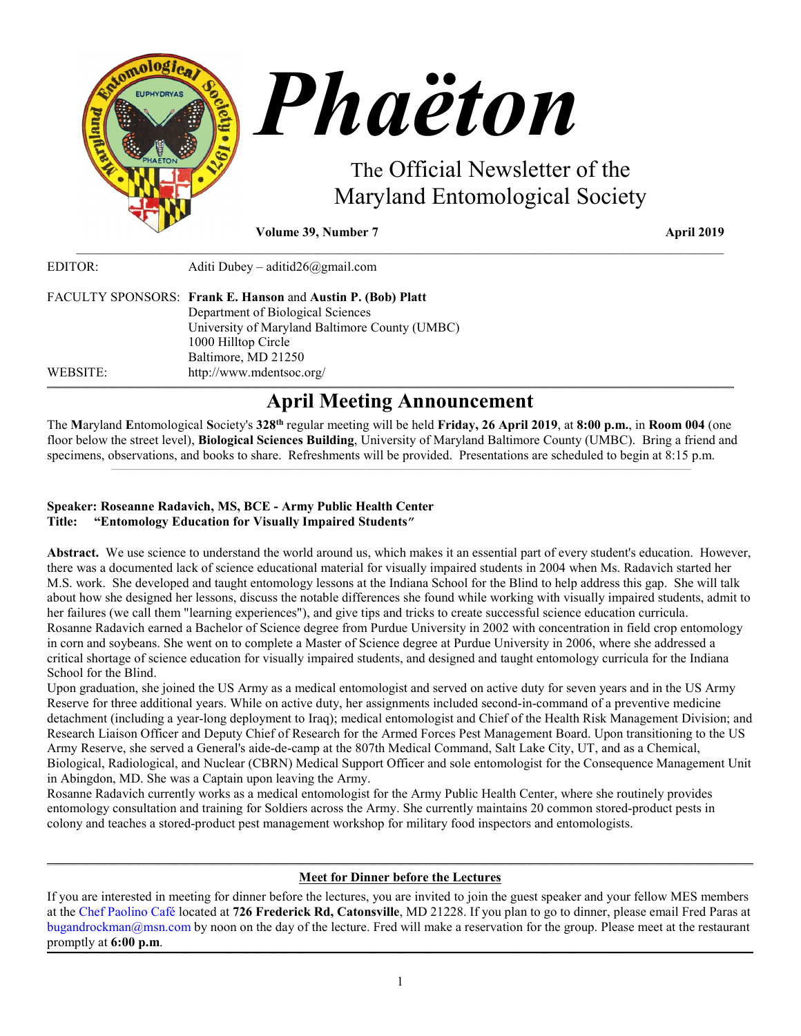

**Volume 39, Number 7** April 2019

| EDITOR:  | Aditi Dubey – aditid $26$ @gmail.com                                                                                                                                                             |
|----------|--------------------------------------------------------------------------------------------------------------------------------------------------------------------------------------------------|
|          | FACULTY SPONSORS: Frank E. Hanson and Austin P. (Bob) Platt<br>Department of Biological Sciences<br>University of Maryland Baltimore County (UMBC)<br>1000 Hilltop Circle<br>Baltimore, MD 21250 |
| WEBSITE: | http://www.mdentsoc.org/                                                                                                                                                                         |

# **April Meeting Announcement**

**\_\_\_\_\_\_\_\_\_\_\_\_\_\_\_\_\_\_\_\_\_\_\_\_\_\_\_\_\_\_\_\_\_\_\_\_\_\_\_\_\_\_\_\_\_\_\_\_\_\_\_\_\_\_\_\_\_\_\_\_\_\_\_\_\_\_\_\_\_\_\_\_\_\_\_\_\_\_\_\_\_\_\_\_\_\_\_\_\_\_\_\_\_\_\_\_\_\_\_\_\_\_\_\_\_\_\_\_\_\_\_\_\_\_\_\_\_\_\_\_\_\_\_\_\_\_\_\_\_\_\_\_\_\_\_\_\_\_\_\_\_\_\_\_\_\_\_\_\_\_\_\_\_\_\_\_\_\_\_\_\_\_\_\_\_\_\_\_\_\_\_\_\_\_\_\_\_\_\_\_\_\_\_\_\_\_\_\_\_\_\_\_\_\_\_\_\_\_\_\_\_\_\_\_\_\_\_\_\_\_\_\_\_\_\_\_\_\_\_\_\_\_\_\_\_\_\_\_\_\_\_\_\_\_\_\_\_\_\_\_\_\_\_\_\_\_\_\_\_\_\_\_\_\_\_\_\_\_\_\_\_\_\_\_\_\_\_\_\_\_\_\_\_\_\_\_\_\_\_\_\_\_\_\_\_\_\_\_\_\_\_\_\_\_\_\_\_\_\_\_\_\_\_\_\_\_\_\_\_\_\_\_\_\_\_\_\_\_\_\_\_\_\_\_\_\_\_\_\_\_\_\_\_\_\_\_\_\_\_\_\_\_\_\_\_\_\_\_\_\_**

\_\_\_\_\_\_\_\_\_\_\_\_\_\_\_\_\_\_\_\_\_\_\_\_\_\_\_\_\_\_\_\_\_\_\_\_\_\_\_\_\_\_\_\_\_\_\_\_\_\_\_\_\_\_\_\_\_\_\_\_\_\_\_\_\_\_\_\_\_\_\_\_\_\_\_\_\_\_\_\_\_\_\_\_\_\_\_\_\_\_\_\_\_\_\_\_\_\_\_

The **M**aryland **E**ntomological **S**ociety's **328th** regular meeting will be held **Friday, 26 April 2019**, at **8:00 p.m.**, in **Room 004** (one floor below the street level), **Biological Sciences Building**, University of Maryland Baltimore County (UMBC). Bring a friend and specimens, observations, and books to share. Refreshments will be provided. Presentations are scheduled to begin at 8:15 p.m.  $\mathcal{L}_\text{max} = \mathcal{L}_\text{max} = \mathcal{L}_\text{max} = \mathcal{L}_\text{max} = \mathcal{L}_\text{max} = \mathcal{L}_\text{max} = \mathcal{L}_\text{max} = \mathcal{L}_\text{max} = \mathcal{L}_\text{max} = \mathcal{L}_\text{max} = \mathcal{L}_\text{max} = \mathcal{L}_\text{max} = \mathcal{L}_\text{max} = \mathcal{L}_\text{max} = \mathcal{L}_\text{max} = \mathcal{L}_\text{max} = \mathcal{L}_\text{max} = \mathcal{L}_\text{max} = \mathcal{$ 

# **Speaker: Roseanne Radavich, MS, BCE - Army Public Health Center Title: "Entomology Education for Visually Impaired Students"**

**Abstract.** We use science to understand the world around us, which makes it an essential part of every student's education. However, there was a documented lack of science educational material for visually impaired students in 2004 when Ms. Radavich started her M.S. work. She developed and taught entomology lessons at the Indiana School for the Blind to help address this gap. She will talk about how she designed her lessons, discuss the notable differences she found while working with visually impaired students, admit to her failures (we call them "learning experiences"), and give tips and tricks to create successful science education curricula. Rosanne Radavich earned a Bachelor of Science degree from Purdue University in 2002 with concentration in field crop entomology in corn and soybeans. She went on to complete a Master of Science degree at Purdue University in 2006, where she addressed a critical shortage of science education for visually impaired students, and designed and taught entomology curricula for the Indiana School for the Blind.

Upon graduation, she joined the US Army as a medical entomologist and served on active duty for seven years and in the US Army Reserve for three additional years. While on active duty, her assignments included second-in-command of a preventive medicine detachment (including a year-long deployment to Iraq); medical entomologist and Chief of the Health Risk Management Division; and Research Liaison Officer and Deputy Chief of Research for the Armed Forces Pest Management Board. Upon transitioning to the US Army Reserve, she served a General's aide-de-camp at the 807th Medical Command, Salt Lake City, UT, and as a Chemical, Biological, Radiological, and Nuclear (CBRN) Medical Support Officer and sole entomologist for the Consequence Management Unit in Abingdon, MD. She was a Captain upon leaving the Army.

Rosanne Radavich currently works as a medical entomologist for the Army Public Health Center, where she routinely provides entomology consultation and training for Soldiers across the Army. She currently maintains 20 common stored-product pests in colony and teaches a stored-product pest management workshop for military food inspectors and entomologists.

#### **\_\_\_\_\_\_\_\_\_\_\_\_\_\_\_\_\_\_\_\_\_\_\_\_\_\_\_\_\_\_\_\_\_\_\_\_\_\_\_\_\_\_\_\_\_\_\_\_\_\_\_\_\_\_\_\_\_\_\_\_\_\_\_\_\_\_\_\_\_\_\_\_\_\_\_\_\_\_\_\_\_\_\_\_\_\_\_\_\_\_\_\_\_\_\_\_\_\_\_\_\_\_\_\_\_\_\_\_\_\_\_\_\_\_\_\_\_\_\_\_\_\_\_\_\_\_\_\_\_\_\_\_\_\_\_\_\_\_\_\_\_\_\_\_\_\_\_\_\_\_\_\_\_\_\_\_\_\_\_\_\_\_\_\_\_\_\_\_\_\_\_\_\_\_\_\_\_\_\_\_\_\_\_\_\_\_\_\_\_\_\_\_\_\_\_\_\_\_\_\_\_\_\_\_\_\_\_\_\_\_\_\_\_\_\_\_\_\_\_\_\_\_\_\_\_\_\_\_\_\_\_\_\_\_\_\_\_\_\_\_\_\_\_\_\_\_\_\_\_\_\_\_\_\_\_\_\_\_\_\_\_\_\_\_\_\_\_\_\_\_\_\_\_\_\_\_\_\_\_\_\_\_\_\_\_\_\_\_\_\_\_\_\_\_\_\_\_\_\_\_\_\_\_\_\_\_\_\_\_\_\_\_\_\_\_\_\_\_\_\_\_\_\_\_\_\_\_\_\_\_\_\_\_\_\_\_\_\_\_\_\_\_\_\_\_\_\_\_\_\_\_\_\_\_\_\_\_\_\_\_ Meet for Dinner before the Lectures**

If you are interested in meeting for dinner before the lectures, you are invited to join the guest speaker and your fellow MES members at the [Chef Paolino Café](https://www.google.com/maps/place/Chef+Paolino+Cafe/@39.2727924,-76.7320191,15z/data=!4m5!3m4!1s0x0:0x5b7140dd2ad4f543!8m2!3d39.2727924!4d-76.7320191) located at **726 Frederick Rd, Catonsville**, MD 21228. If you plan to go to dinner, please email Fred Paras at bugandrockman@msn.com by noon on the day of the lecture. Fred will make a reservation for the group. Please meet at the restaurant promptly at **6:00 p.m**.

**\_\_\_\_\_\_\_\_\_\_\_\_\_\_\_\_\_\_\_\_\_\_\_\_\_\_\_\_\_\_\_\_\_\_\_\_\_\_\_\_\_\_\_\_\_\_\_\_\_\_\_\_\_\_\_\_\_\_\_\_\_\_\_\_\_\_\_\_\_\_\_\_\_\_\_\_\_\_\_\_\_\_\_\_\_\_\_\_\_\_\_\_\_\_\_\_\_\_\_\_\_\_\_\_\_\_\_\_\_\_\_\_\_\_\_\_\_\_\_\_\_\_\_\_\_\_\_\_\_\_\_\_\_\_\_\_\_\_\_\_\_\_\_\_\_\_\_\_\_\_\_\_\_\_\_\_\_\_\_\_\_\_\_\_\_\_\_\_\_\_\_\_\_\_\_\_\_\_\_\_\_\_\_\_\_\_\_\_\_\_\_\_\_\_\_\_\_\_\_\_\_\_\_\_\_\_\_\_\_\_\_\_\_\_\_\_\_\_\_\_\_\_\_\_\_\_\_\_\_\_\_\_\_\_\_\_\_\_\_\_\_\_\_\_\_\_\_\_\_\_\_\_\_\_\_\_\_\_\_\_\_\_\_\_\_\_\_\_\_\_\_\_\_\_\_\_\_\_\_\_\_\_\_\_\_\_\_\_\_\_\_\_\_\_\_\_\_\_\_\_\_\_\_\_\_\_\_\_\_\_\_\_\_\_\_\_\_\_\_\_\_\_\_\_\_\_\_\_\_\_\_\_\_\_\_\_\_\_\_\_\_\_\_\_\_\_\_\_\_\_\_\_\_\_\_\_\_\_\_\_**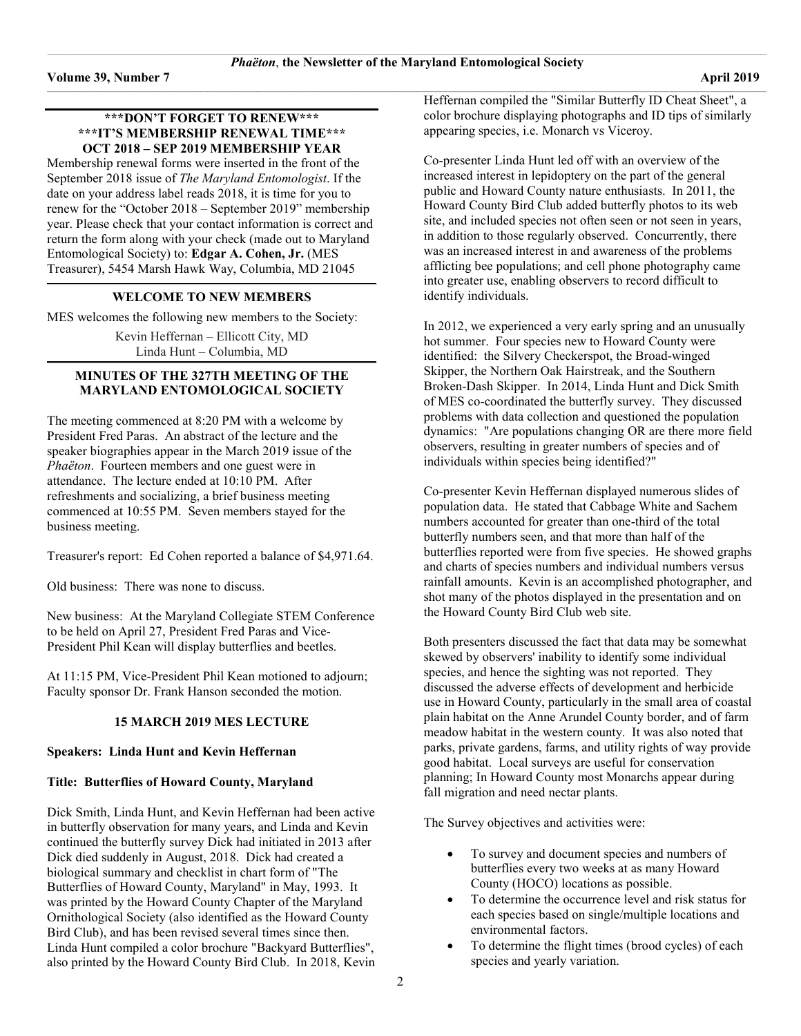### **\*\*\*DON'T FORGET TO RENEW\*\*\* \*\*\*IT'S MEMBERSHIP RENEWAL TIME\*\*\* OCT 2018 – SEP 2019 MEMBERSHIP YEAR**

Membership renewal forms were inserted in the front of the September 2018 issue of *The Maryland Entomologist*. If the date on your address label reads 2018, it is time for you to renew for the "October 2018 – September 2019" membership year. Please check that your contact information is correct and return the form along with your check (made out to Maryland Entomological Society) to: **Edgar A. Cohen, Jr.** (MES Treasurer), 5454 Marsh Hawk Way, Columbia, MD 21045

#### **\_\_\_\_\_\_\_\_\_\_\_\_\_\_\_\_\_\_\_\_\_\_\_\_\_\_\_\_\_\_\_\_\_\_\_\_\_\_\_\_\_\_\_\_\_\_\_\_\_\_\_\_\_\_\_\_\_\_\_\_\_\_\_\_\_\_\_\_\_\_\_\_\_\_\_\_\_\_\_\_\_\_\_\_\_\_\_\_\_\_\_\_\_\_\_\_\_\_\_\_\_\_\_\_\_\_\_\_\_\_\_\_\_\_\_\_\_\_\_\_\_\_\_\_\_\_\_\_\_\_\_\_\_\_\_\_\_\_\_\_\_\_\_\_\_\_\_\_\_\_\_\_\_\_\_\_\_\_\_\_\_\_\_\_\_\_\_\_ WELCOME TO NEW MEMBERS**

MES welcomes the following new members to the Society:

Kevin Heffernan – Ellicott City, MD Linda Hunt – Columbia, MD **\_\_\_\_\_\_\_\_\_\_\_\_\_\_\_\_\_\_\_\_\_\_\_\_\_\_\_\_\_\_\_\_\_\_\_\_\_\_\_\_\_\_\_\_\_\_\_\_\_\_\_\_\_\_\_\_\_\_\_\_\_\_\_\_\_\_\_\_\_\_\_\_\_\_\_\_\_\_\_\_\_\_\_\_\_\_\_\_\_\_\_\_\_\_\_\_\_\_\_\_\_\_\_\_\_\_\_\_\_\_\_\_\_\_\_\_\_\_\_\_\_\_\_\_\_\_\_\_\_\_\_\_\_\_\_\_\_\_\_\_\_\_\_\_\_\_\_\_\_\_\_\_\_\_\_\_\_\_\_\_\_\_\_\_\_\_\_\_**

# **MINUTES OF THE 327TH MEETING OF THE MARYLAND ENTOMOLOGICAL SOCIETY**

The meeting commenced at 8:20 PM with a welcome by President Fred Paras. An abstract of the lecture and the speaker biographies appear in the March 2019 issue of the *Phaëton*. Fourteen members and one guest were in attendance. The lecture ended at 10:10 PM. After refreshments and socializing, a brief business meeting commenced at 10:55 PM. Seven members stayed for the business meeting.

Treasurer's report: Ed Cohen reported a balance of \$4,971.64.

Old business: There was none to discuss.

New business: At the Maryland Collegiate STEM Conference to be held on April 27, President Fred Paras and Vice-President Phil Kean will display butterflies and beetles.

At 11:15 PM, Vice-President Phil Kean motioned to adjourn; Faculty sponsor Dr. Frank Hanson seconded the motion.

#### **15 MARCH 2019 MES LECTURE**

#### **Speakers: Linda Hunt and Kevin Heffernan**

# **Title: Butterflies of Howard County, Maryland**

Dick Smith, Linda Hunt, and Kevin Heffernan had been active in butterfly observation for many years, and Linda and Kevin continued the butterfly survey Dick had initiated in 2013 after Dick died suddenly in August, 2018. Dick had created a biological summary and checklist in chart form of "The Butterflies of Howard County, Maryland" in May, 1993. It was printed by the Howard County Chapter of the Maryland Ornithological Society (also identified as the Howard County Bird Club), and has been revised several times since then. Linda Hunt compiled a color brochure "Backyard Butterflies", also printed by the Howard County Bird Club. In 2018, Kevin

Heffernan compiled the "Similar Butterfly ID Cheat Sheet", a color brochure displaying photographs and ID tips of similarly appearing species, i.e. Monarch vs Viceroy.

Co-presenter Linda Hunt led off with an overview of the increased interest in lepidoptery on the part of the general public and Howard County nature enthusiasts. In 2011, the Howard County Bird Club added butterfly photos to its web site, and included species not often seen or not seen in years, in addition to those regularly observed. Concurrently, there was an increased interest in and awareness of the problems afflicting bee populations; and cell phone photography came into greater use, enabling observers to record difficult to identify individuals.

In 2012, we experienced a very early spring and an unusually hot summer. Four species new to Howard County were identified: the Silvery Checkerspot, the Broad-winged Skipper, the Northern Oak Hairstreak, and the Southern Broken-Dash Skipper. In 2014, Linda Hunt and Dick Smith of MES co-coordinated the butterfly survey. They discussed problems with data collection and questioned the population dynamics: "Are populations changing OR are there more field observers, resulting in greater numbers of species and of individuals within species being identified?"

Co-presenter Kevin Heffernan displayed numerous slides of population data. He stated that Cabbage White and Sachem numbers accounted for greater than one-third of the total butterfly numbers seen, and that more than half of the butterflies reported were from five species. He showed graphs and charts of species numbers and individual numbers versus rainfall amounts. Kevin is an accomplished photographer, and shot many of the photos displayed in the presentation and on the Howard County Bird Club web site.

Both presenters discussed the fact that data may be somewhat skewed by observers' inability to identify some individual species, and hence the sighting was not reported. They discussed the adverse effects of development and herbicide use in Howard County, particularly in the small area of coastal plain habitat on the Anne Arundel County border, and of farm meadow habitat in the western county. It was also noted that parks, private gardens, farms, and utility rights of way provide good habitat. Local surveys are useful for conservation planning; In Howard County most Monarchs appear during fall migration and need nectar plants.

The Survey objectives and activities were:

- To survey and document species and numbers of butterflies every two weeks at as many Howard County (HOCO) locations as possible.
- To determine the occurrence level and risk status for each species based on single/multiple locations and environmental factors.
- To determine the flight times (brood cycles) of each species and yearly variation.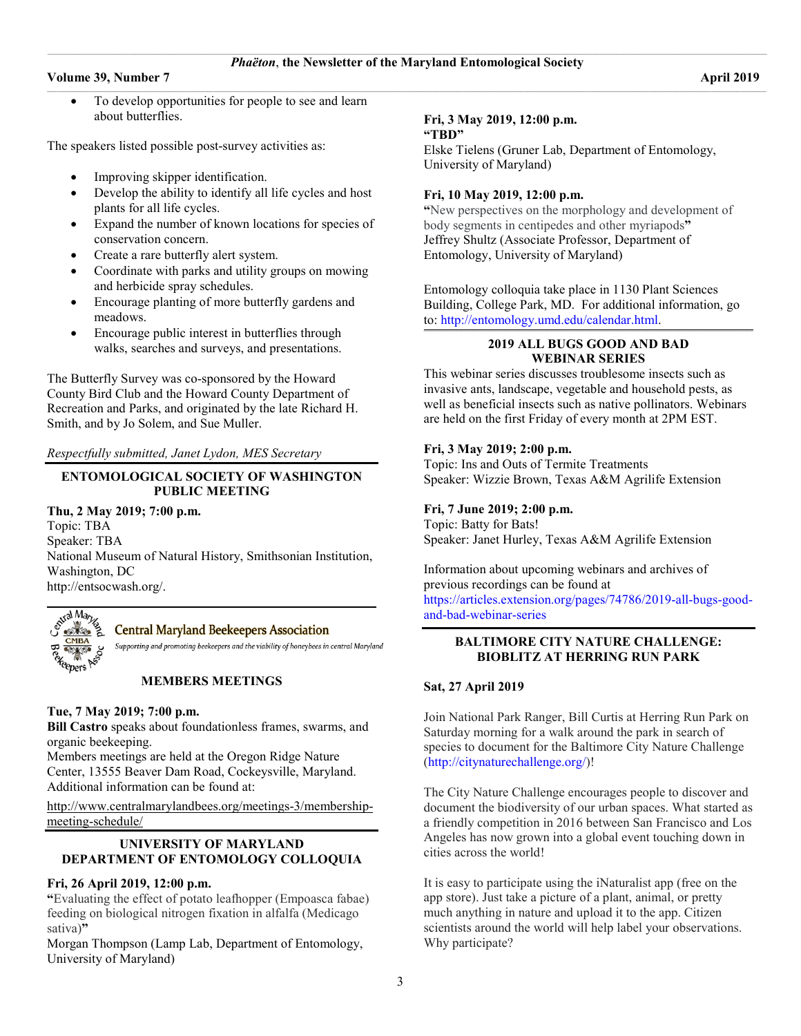$\_$  , and the set of the set of the set of the set of the set of the set of the set of the set of the set of the set of the set of the set of the set of the set of the set of the set of the set of the set of the set of th

#### **Volume 39, Number 7** April 2019

To develop opportunities for people to see and learn about butterflies.

The speakers listed possible post-survey activities as:

- Improving skipper identification.
- Develop the ability to identify all life cycles and host plants for all life cycles.
- Expand the number of known locations for species of conservation concern.
- Create a rare butterfly alert system.
- Coordinate with parks and utility groups on mowing and herbicide spray schedules.
- Encourage planting of more butterfly gardens and meadows.
- Encourage public interest in butterflies through walks, searches and surveys, and presentations.

The Butterfly Survey was co-sponsored by the Howard County Bird Club and the Howard County Department of Recreation and Parks, and originated by the late Richard H. Smith, and by Jo Solem, and Sue Muller.

*Respectfully submitted, Janet Lydon, MES Secretary*

# **ENTOMOLOGICAL SOCIETY OF WASHINGTON PUBLIC MEETING**

# **Thu, 2 May 2019; 7:00 p.m.**

Topic: TBA Speaker: TBA National Museum of Natural History, Smithsonian Institution, Washington, DC [http://entsocwash.org/.](http://entsocwash.org/)



**Central Maryland Beekeepers Association** 

Supporting and promoting beekeepers and the viability of honeybees in central Maryland

# **MEMBERS MEETINGS**

### **Tue, 7 May 2019; 7:00 p.m.**

**Bill Castro** speaks about foundationless frames, swarms, and organic beekeeping.

Members meetings are held at the Oregon Ridge Nature Center, 13555 Beaver Dam Road, Cockeysville, Maryland. Additional information can be found at:

[http://www.centralmarylandbees.org/meetings-3/membership](http://www.centralmarylandbees.org/meetings-3/membership-meeting-schedule/)[meeting-schedule/](http://www.centralmarylandbees.org/meetings-3/membership-meeting-schedule/)

# **UNIVERSITY OF MARYLAND DEPARTMENT OF ENTOMOLOGY COLLOQUIA**

#### **Fri, 26 April 2019, 12:00 p.m.**

**"**Evaluating the effect of potato leafhopper (Empoasca fabae) feeding on biological nitrogen fixation in alfalfa (Medicago sativa)**"**

Morgan Thompson (Lamp Lab, Department of Entomology, University of Maryland)

#### **Fri, 3 May 2019, 12:00 p.m. "TBD"**

Elske Tielens (Gruner Lab, Department of Entomology, University of Maryland)

# **Fri, 10 May 2019, 12:00 p.m.**

**"**New perspectives on the morphology and development of body segments in centipedes and other myriapods**"** Jeffrey Shultz (Associate Professor, Department of Entomology, University of Maryland)

Entomology colloquia take place in 1130 Plant Sciences Building, College Park, MD. For additional information, go to: [http://entomology.umd.edu/calendar.html.](http://entomology.umd.edu/calendar.html)

#### **\_\_\_\_\_\_\_\_\_\_\_\_\_\_\_\_\_\_\_\_\_\_\_\_\_\_\_\_\_\_\_\_\_\_\_\_\_\_\_\_\_\_\_\_\_\_\_\_\_\_\_\_\_\_\_\_\_\_\_\_\_\_\_\_\_\_\_\_\_\_\_\_\_\_\_\_\_\_\_\_\_\_\_\_\_\_\_\_\_\_\_\_\_\_\_\_\_\_\_\_\_\_\_\_\_\_\_\_\_\_\_\_\_\_\_\_\_\_\_\_\_\_\_\_\_\_\_\_\_\_\_\_\_\_\_\_\_\_\_\_\_\_\_\_\_\_\_\_\_\_\_\_\_\_\_\_\_\_\_\_\_\_\_\_\_\_\_\_ 2019 ALL BUGS GOOD AND BAD WEBINAR SERIES**

This webinar series discusses troublesome insects such as invasive ants, landscape, vegetable and household pests, as well as beneficial insects such as native pollinators. Webinars are held on the first Friday of every month at 2PM EST.

# **Fri, 3 May 2019; 2:00 p.m.**

Topic: Ins and Outs of Termite Treatments Speaker: Wizzie Brown, Texas A&M Agrilife Extension

# **Fri, 7 June 2019; 2:00 p.m.**

Topic: Batty for Bats! Speaker: Janet Hurley, Texas A&M Agrilife Extension

Information about upcoming webinars and archives of previous recordings can be found at

[https://articles.extension.org/pages/74786/2019-all-bugs-good](https://articles.extension.org/pages/74786/2019-all-bugs-good-and-bad-webinar-series)[and-bad-webinar-series](https://articles.extension.org/pages/74786/2019-all-bugs-good-and-bad-webinar-series)

### **BALTIMORE CITY NATURE CHALLENGE: BIOBLITZ AT HERRING RUN PARK**

#### **Sat, 27 April 2019**

Join National Park Ranger, Bill Curtis at Herring Run Park on Saturday morning for a walk around the park in search of species to document for the Baltimore City Nature Challenge [\(http://citynaturechallenge.org/\)](http://citynaturechallenge.org/)!

The City Nature Challenge encourages people to discover and document the biodiversity of our urban spaces. What started as a friendly competition in 2016 between San Francisco and Los Angeles has now grown into a global event touching down in cities across the world!

It is easy to participate using the iNaturalist app (free on the app store). Just take a picture of a plant, animal, or pretty much anything in nature and upload it to the app. Citizen scientists around the world will help label your observations. Why participate?